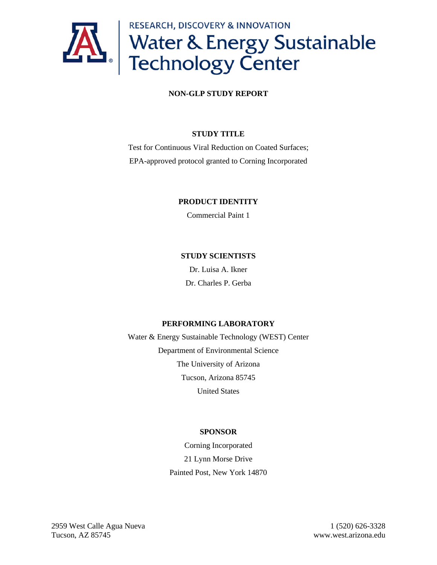

#### **NON-GLP STUDY REPORT**

#### **STUDY TITLE**

Test for Continuous Viral Reduction on Coated Surfaces; EPA-approved protocol granted to Corning Incorporated

#### **PRODUCT IDENTITY**

Commercial Paint 1

#### **STUDY SCIENTISTS**

Dr. Luisa A. Ikner Dr. Charles P. Gerba

#### **PERFORMING LABORATORY**

Water & Energy Sustainable Technology (WEST) Center Department of Environmental Science The University of Arizona Tucson, Arizona 85745 United States

#### **SPONSOR**

Corning Incorporated 21 Lynn Morse Drive Painted Post, New York 14870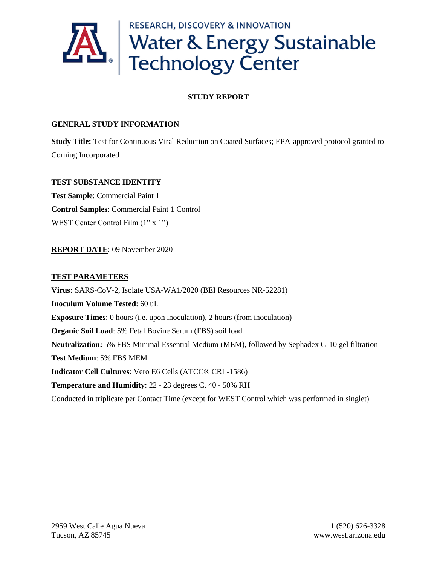

#### **STUDY REPORT**

#### **GENERAL STUDY INFORMATION**

**Study Title:** Test for Continuous Viral Reduction on Coated Surfaces; EPA-approved protocol granted to Corning Incorporated

#### **TEST SUBSTANCE IDENTITY**

**Test Sample**: Commercial Paint 1 **Control Samples**: Commercial Paint 1 Control WEST Center Control Film  $(1" x 1")$ 

#### **REPORT DATE**: 09 November 2020

#### **TEST PARAMETERS**

**Virus:** SARS-CoV-2, Isolate USA-WA1/2020 (BEI Resources NR-52281) **Inoculum Volume Tested**: 60 uL **Exposure Times**: 0 hours (i.e. upon inoculation), 2 hours (from inoculation) **Organic Soil Load**: 5% Fetal Bovine Serum (FBS) soil load **Neutralization:** 5% FBS Minimal Essential Medium (MEM), followed by Sephadex G-10 gel filtration **Test Medium**: 5% FBS MEM **Indicator Cell Cultures**: Vero E6 Cells (ATCC® CRL-1586) **Temperature and Humidity**: 22 - 23 degrees C, 40 - 50% RH Conducted in triplicate per Contact Time (except for WEST Control which was performed in singlet)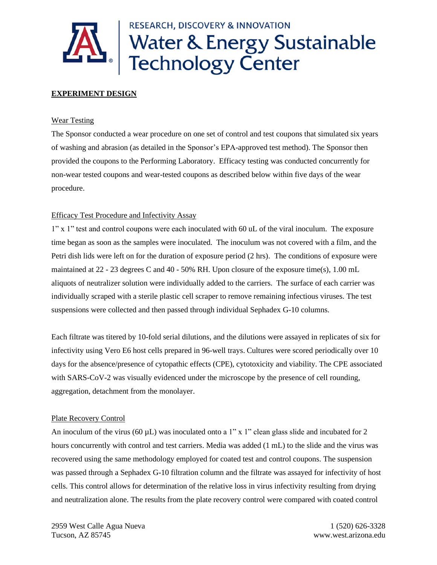

## **RESEARCH, DISCOVERY & INNOVATION** Water & Energy Sustainable<br>Technology Center

#### **EXPERIMENT DESIGN**

#### Wear Testing

The Sponsor conducted a wear procedure on one set of control and test coupons that simulated six years of washing and abrasion (as detailed in the Sponsor's EPA-approved test method). The Sponsor then provided the coupons to the Performing Laboratory. Efficacy testing was conducted concurrently for non-wear tested coupons and wear-tested coupons as described below within five days of the wear procedure.

#### Efficacy Test Procedure and Infectivity Assay

1" x 1" test and control coupons were each inoculated with 60 uL of the viral inoculum. The exposure time began as soon as the samples were inoculated. The inoculum was not covered with a film, and the Petri dish lids were left on for the duration of exposure period (2 hrs). The conditions of exposure were maintained at 22 - 23 degrees C and 40 - 50% RH. Upon closure of the exposure time(s), 1.00 mL aliquots of neutralizer solution were individually added to the carriers. The surface of each carrier was individually scraped with a sterile plastic cell scraper to remove remaining infectious viruses. The test suspensions were collected and then passed through individual Sephadex G-10 columns.

Each filtrate was titered by 10-fold serial dilutions, and the dilutions were assayed in replicates of six for infectivity using Vero E6 host cells prepared in 96-well trays. Cultures were scored periodically over 10 days for the absence/presence of cytopathic effects (CPE), cytotoxicity and viability. The CPE associated with SARS-CoV-2 was visually evidenced under the microscope by the presence of cell rounding, aggregation, detachment from the monolayer.

#### Plate Recovery Control

An inoculum of the virus (60  $\mu$ L) was inoculated onto a 1" x 1" clean glass slide and incubated for 2 hours concurrently with control and test carriers. Media was added (1 mL) to the slide and the virus was recovered using the same methodology employed for coated test and control coupons. The suspension was passed through a Sephadex G-10 filtration column and the filtrate was assayed for infectivity of host cells. This control allows for determination of the relative loss in virus infectivity resulting from drying and neutralization alone. The results from the plate recovery control were compared with coated control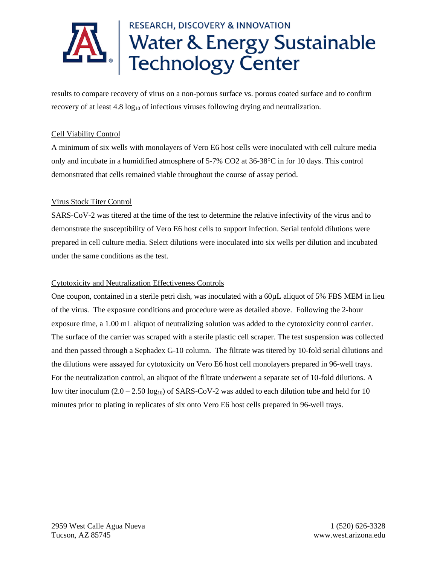

results to compare recovery of virus on a non-porous surface vs. porous coated surface and to confirm recovery of at least  $4.8 \log_{10}$  of infectious viruses following drying and neutralization.

#### Cell Viability Control

A minimum of six wells with monolayers of Vero E6 host cells were inoculated with cell culture media only and incubate in a humidified atmosphere of 5-7% CO2 at 36-38°C in for 10 days. This control demonstrated that cells remained viable throughout the course of assay period.

#### Virus Stock Titer Control

SARS-CoV-2 was titered at the time of the test to determine the relative infectivity of the virus and to demonstrate the susceptibility of Vero E6 host cells to support infection. Serial tenfold dilutions were prepared in cell culture media. Select dilutions were inoculated into six wells per dilution and incubated under the same conditions as the test.

#### Cytotoxicity and Neutralization Effectiveness Controls

One coupon, contained in a sterile petri dish, was inoculated with a 60µL aliquot of 5% FBS MEM in lieu of the virus. The exposure conditions and procedure were as detailed above. Following the 2-hour exposure time, a 1.00 mL aliquot of neutralizing solution was added to the cytotoxicity control carrier. The surface of the carrier was scraped with a sterile plastic cell scraper. The test suspension was collected and then passed through a Sephadex G-10 column. The filtrate was titered by 10-fold serial dilutions and the dilutions were assayed for cytotoxicity on Vero E6 host cell monolayers prepared in 96-well trays. For the neutralization control, an aliquot of the filtrate underwent a separate set of 10-fold dilutions. A low titer inoculum  $(2.0 - 2.50 \log_{10})$  of SARS-CoV-2 was added to each dilution tube and held for 10 minutes prior to plating in replicates of six onto Vero E6 host cells prepared in 96-well trays.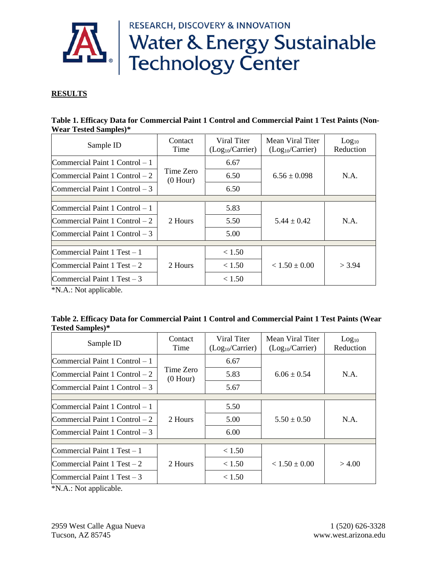RESEARCH, DISCOVERY & INNOVATION



# **AL Water & Energy Sustainable**<br>Technology Center

#### **RESULTS**

| Table 1. Efficacy Data for Commercial Paint 1 Control and Commercial Paint 1 Test Paints (Non- |  |  |
|------------------------------------------------------------------------------------------------|--|--|
| <b>Wear Tested Samples</b> )*                                                                  |  |  |

| Sample ID                         | Contact<br>Time         | Viral Titer<br>(Log <sub>10</sub> /Carrier) | Mean Viral Titer<br>(Log <sub>10</sub> /Carrier) | Log <sub>10</sub><br>Reduction |
|-----------------------------------|-------------------------|---------------------------------------------|--------------------------------------------------|--------------------------------|
| Commercial Paint $1$ Control $-1$ |                         | 6.67                                        |                                                  |                                |
| Commercial Paint $1$ Control $-2$ | Time Zero<br>$(0$ Hour) | 6.50                                        | $6.56 \pm 0.098$                                 | N.A.                           |
| Commercial Paint $1$ Control $-3$ |                         | 6.50                                        |                                                  |                                |
|                                   |                         |                                             |                                                  |                                |
| Commercial Paint $1$ Control $-1$ |                         | 5.83                                        |                                                  |                                |
| Commercial Paint $1$ Control $-2$ | 2 Hours                 | 5.50                                        | $5.44 \pm 0.42$                                  | N.A.                           |
| Commercial Paint $1$ Control $-3$ |                         | 5.00                                        |                                                  |                                |
|                                   |                         |                                             |                                                  |                                |
| Commercial Paint $1$ Test $-1$    |                         | < 1.50                                      |                                                  |                                |
| Commercial Paint 1 Test $-2$      | 2 Hours                 | < 1.50                                      | $< 1.50 \pm 0.00$                                | $>$ 3.94                       |
| Commercial Paint 1 Test $-3$      |                         | < 1.50                                      |                                                  |                                |

\*N.A.: Not applicable.

| Table 2. Efficacy Data for Commercial Paint 1 Control and Commercial Paint 1 Test Paints (Wear |  |
|------------------------------------------------------------------------------------------------|--|
| <b>Tested Samples</b> )*                                                                       |  |

| Sample ID                         | Contact<br>Time         | Viral Titer<br>(Log <sub>10</sub> /Carrier) | Mean Viral Titer<br>(Log <sub>10</sub> /Carrier) | Log <sub>10</sub><br>Reduction |
|-----------------------------------|-------------------------|---------------------------------------------|--------------------------------------------------|--------------------------------|
| $Commercial$ Paint 1 Control $-1$ |                         | 6.67                                        |                                                  |                                |
| Commercial Paint 1 Control $-2$   | Time Zero<br>$(0$ Hour) | 5.83                                        | $6.06 \pm 0.54$                                  | N.A.                           |
| Commercial Paint 1 Control $-3$   |                         | 5.67                                        |                                                  |                                |
| Commercial Paint $1$ Control $-1$ |                         | 5.50                                        |                                                  |                                |
| Commercial Paint 1 Control $-2$   | 2 Hours                 | 5.00                                        | $5.50 \pm 0.50$                                  | N.A.                           |
| Commercial Paint 1 Control $-3$   |                         | 6.00                                        |                                                  |                                |
| Commercial Paint 1 Test $-1$      |                         | < 1.50                                      |                                                  |                                |
| Commercial Paint 1 Test $-2$      | 2 Hours                 | < 1.50                                      | $< 1.50 \pm 0.00$                                | > 4.00                         |
| Commercial Paint 1 Test $-3$      |                         | < 1.50                                      |                                                  |                                |

\*N.A.: Not applicable.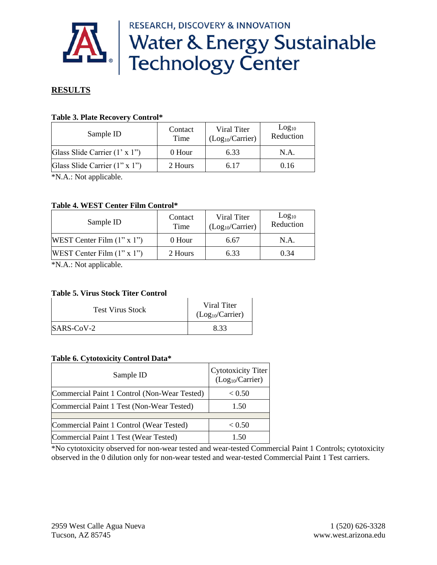**RESEARCH, DISCOVERY & INNOVATION** 



## **AL** | Water & Energy Sustainable<br>Technology Center

#### **RESULTS**

#### **Table 3. Plate Recovery Control\***

| Sample ID                             | Contact<br>Time | Viral Titer<br>(Log <sub>10</sub> /Carrier) | Log <sub>10</sub><br>Reduction |
|---------------------------------------|-----------------|---------------------------------------------|--------------------------------|
| Glass Slide Carrier $(1' \times 1'')$ | 0 Hour          | 6.33                                        | N.A.                           |
| Glass Slide Carrier (1" x 1")         | 2 Hours         | 6.17                                        | 0.16                           |

\*N.A.: Not applicable.

#### **Table 4. WEST Center Film Control\***

| Contact<br>Time | Viral Titer<br>(Log <sub>10</sub> /Carrier) | Log <sub>10</sub><br>Reduction |
|-----------------|---------------------------------------------|--------------------------------|
| 0 Hour          | 6.67                                        | N.A.                           |
| 2 Hours         | 6.33                                        | 0.34                           |
|                 |                                             |                                |

\*N.A.: Not applicable.

#### **Table 5. Virus Stock Titer Control**

| <b>Test Virus Stock</b> | Viral Titer<br>(Log <sub>10</sub> /Carrier) |
|-------------------------|---------------------------------------------|
| $SARS-CoV-2$            | 8.33                                        |

#### **Table 6. Cytotoxicity Control Data\***

| Sample ID                                    | Cytotoxicity Titer<br>(Log <sub>10</sub> /Carrier) |
|----------------------------------------------|----------------------------------------------------|
| Commercial Paint 1 Control (Non-Wear Tested) | < 0.50                                             |
| Commercial Paint 1 Test (Non-Wear Tested)    | 1.50                                               |
|                                              |                                                    |
| Commercial Paint 1 Control (Wear Tested)     | < 0.50                                             |
| Commercial Paint 1 Test (Wear Tested)        | 1 50                                               |

\*No cytotoxicity observed for non-wear tested and wear-tested Commercial Paint 1 Controls; cytotoxicity observed in the 0 dilution only for non-wear tested and wear-tested Commercial Paint 1 Test carriers.